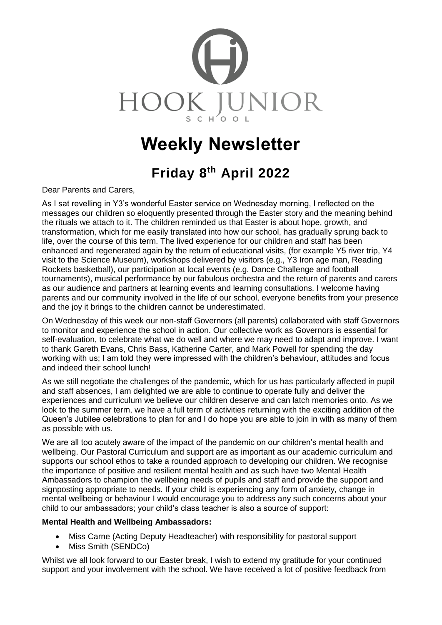

# **Weekly Newsletter**

## **Friday 8 th April 2022**

Dear Parents and Carers,

As I sat revelling in Y3's wonderful Easter service on Wednesday morning, I reflected on the messages our children so eloquently presented through the Easter story and the meaning behind the rituals we attach to it. The children reminded us that Easter is about hope, growth, and transformation, which for me easily translated into how our school, has gradually sprung back to life, over the course of this term. The lived experience for our children and staff has been enhanced and regenerated again by the return of educational visits, (for example Y5 river trip, Y4 visit to the Science Museum), workshops delivered by visitors (e.g., Y3 Iron age man, Reading Rockets basketball), our participation at local events (e.g. Dance Challenge and football tournaments), musical performance by our fabulous orchestra and the return of parents and carers as our audience and partners at learning events and learning consultations. I welcome having parents and our community involved in the life of our school, everyone benefits from your presence and the joy it brings to the children cannot be underestimated.

On Wednesday of this week our non-staff Governors (all parents) collaborated with staff Governors to monitor and experience the school in action. Our collective work as Governors is essential for self-evaluation, to celebrate what we do well and where we may need to adapt and improve. I want to thank Gareth Evans, Chris Bass, Katherine Carter, and Mark Powell for spending the day working with us; I am told they were impressed with the children's behaviour, attitudes and focus and indeed their school lunch!

As we still negotiate the challenges of the pandemic, which for us has particularly affected in pupil and staff absences, I am delighted we are able to continue to operate fully and deliver the experiences and curriculum we believe our children deserve and can latch memories onto. As we look to the summer term, we have a full term of activities returning with the exciting addition of the Queen's Jubilee celebrations to plan for and I do hope you are able to join in with as many of them as possible with us.

We are all too acutely aware of the impact of the pandemic on our children's mental health and wellbeing. Our Pastoral Curriculum and support are as important as our academic curriculum and supports our school ethos to take a rounded approach to developing our children. We recognise the importance of positive and resilient mental health and as such have two Mental Health Ambassadors to champion the wellbeing needs of pupils and staff and provide the support and signposting appropriate to needs. If your child is experiencing any form of anxiety, change in mental wellbeing or behaviour I would encourage you to address any such concerns about your child to our ambassadors; your child's class teacher is also a source of support:

#### **Mental Health and Wellbeing Ambassadors:**

- Miss Carne (Acting Deputy Headteacher) with responsibility for pastoral support
- Miss Smith (SENDCo)

Whilst we all look forward to our Easter break, I wish to extend my gratitude for your continued support and your involvement with the school. We have received a lot of positive feedback from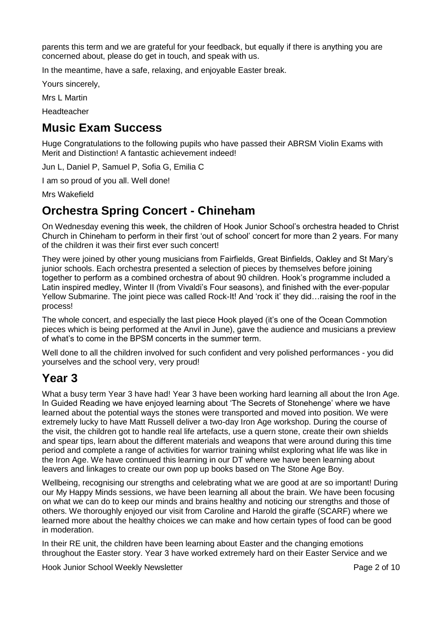parents this term and we are grateful for your feedback, but equally if there is anything you are concerned about, please do get in touch, and speak with us.

In the meantime, have a safe, relaxing, and enjoyable Easter break.

Yours sincerely,

Mrs L Martin

Headteacher

## **Music Exam Success**

Huge Congratulations to the following pupils who have passed their ABRSM Violin Exams with Merit and Distinction! A fantastic achievement indeed!

Jun L, Daniel P, Samuel P, Sofia G, Emilia C

I am so proud of you all. Well done!

Mrs Wakefield

## **Orchestra Spring Concert - Chineham**

On Wednesday evening this week, the children of Hook Junior School's orchestra headed to Christ Church in Chineham to perform in their first 'out of school' concert for more than 2 years. For many of the children it was their first ever such concert!

They were joined by other young musicians from Fairfields, Great Binfields, Oakley and St Mary's junior schools. Each orchestra presented a selection of pieces by themselves before joining together to perform as a combined orchestra of about 90 children. Hook's programme included a Latin inspired medley, Winter II (from Vivaldi's Four seasons), and finished with the ever-popular Yellow Submarine. The joint piece was called Rock-It! And 'rock it' they did…raising the roof in the process!

The whole concert, and especially the last piece Hook played (it's one of the Ocean Commotion pieces which is being performed at the Anvil in June), gave the audience and musicians a preview of what's to come in the BPSM concerts in the summer term.

Well done to all the children involved for such confident and very polished performances - you did yourselves and the school very, very proud!

### **Year 3**

What a busy term Year 3 have had! Year 3 have been working hard learning all about the Iron Age. In Guided Reading we have enjoyed learning about 'The Secrets of Stonehenge' where we have learned about the potential ways the stones were transported and moved into position. We were extremely lucky to have Matt Russell deliver a two-day Iron Age workshop. During the course of the visit, the children got to handle real life artefacts, use a quern stone, create their own shields and spear tips, learn about the different materials and weapons that were around during this time period and complete a range of activities for warrior training whilst exploring what life was like in the Iron Age. We have continued this learning in our DT where we have been learning about leavers and linkages to create our own pop up books based on The Stone Age Boy.

Wellbeing, recognising our strengths and celebrating what we are good at are so important! During our My Happy Minds sessions, we have been learning all about the brain. We have been focusing on what we can do to keep our minds and brains healthy and noticing our strengths and those of others. We thoroughly enjoyed our visit from Caroline and Harold the giraffe (SCARF) where we learned more about the healthy choices we can make and how certain types of food can be good in moderation.

In their RE unit, the children have been learning about Easter and the changing emotions throughout the Easter story. Year 3 have worked extremely hard on their Easter Service and we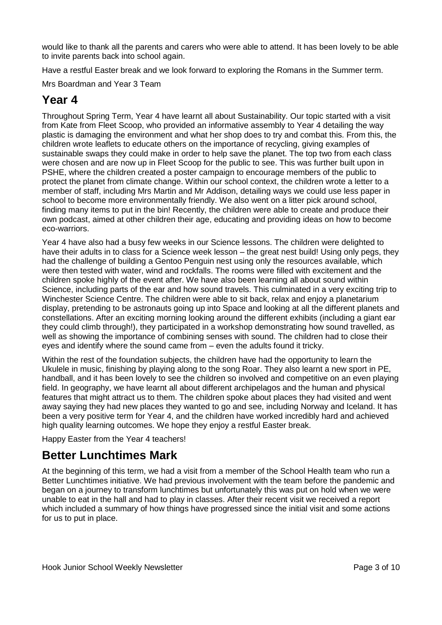would like to thank all the parents and carers who were able to attend. It has been lovely to be able to invite parents back into school again.

Have a restful Easter break and we look forward to exploring the Romans in the Summer term.

Mrs Boardman and Year 3 Team

## **Year 4**

Throughout Spring Term, Year 4 have learnt all about Sustainability. Our topic started with a visit from Kate from Fleet Scoop, who provided an informative assembly to Year 4 detailing the way plastic is damaging the environment and what her shop does to try and combat this. From this, the children wrote leaflets to educate others on the importance of recycling, giving examples of sustainable swaps they could make in order to help save the planet. The top two from each class were chosen and are now up in Fleet Scoop for the public to see. This was further built upon in PSHE, where the children created a poster campaign to encourage members of the public to protect the planet from climate change. Within our school context, the children wrote a letter to a member of staff, including Mrs Martin and Mr Addison, detailing ways we could use less paper in school to become more environmentally friendly. We also went on a litter pick around school, finding many items to put in the bin! Recently, the children were able to create and produce their own podcast, aimed at other children their age, educating and providing ideas on how to become eco-warriors.

Year 4 have also had a busy few weeks in our Science lessons. The children were delighted to have their adults in to class for a Science week lesson – the great nest build! Using only pegs, they had the challenge of building a Gentoo Penguin nest using only the resources available, which were then tested with water, wind and rockfalls. The rooms were filled with excitement and the children spoke highly of the event after. We have also been learning all about sound within Science, including parts of the ear and how sound travels. This culminated in a very exciting trip to Winchester Science Centre. The children were able to sit back, relax and enjoy a planetarium display, pretending to be astronauts going up into Space and looking at all the different planets and constellations. After an exciting morning looking around the different exhibits (including a giant ear they could climb through!), they participated in a workshop demonstrating how sound travelled, as well as showing the importance of combining senses with sound. The children had to close their eyes and identify where the sound came from – even the adults found it tricky.

Within the rest of the foundation subjects, the children have had the opportunity to learn the Ukulele in music, finishing by playing along to the song Roar. They also learnt a new sport in PE, handball, and it has been lovely to see the children so involved and competitive on an even playing field. In geography, we have learnt all about different archipelagos and the human and physical features that might attract us to them. The children spoke about places they had visited and went away saying they had new places they wanted to go and see, including Norway and Iceland. It has been a very positive term for Year 4, and the children have worked incredibly hard and achieved high quality learning outcomes. We hope they enjoy a restful Easter break.

Happy Easter from the Year 4 teachers!

## **Better Lunchtimes Mark**

At the beginning of this term, we had a visit from a member of the School Health team who run a Better Lunchtimes initiative. We had previous involvement with the team before the pandemic and began on a journey to transform lunchtimes but unfortunately this was put on hold when we were unable to eat in the hall and had to play in classes. After their recent visit we received a report which included a summary of how things have progressed since the initial visit and some actions for us to put in place.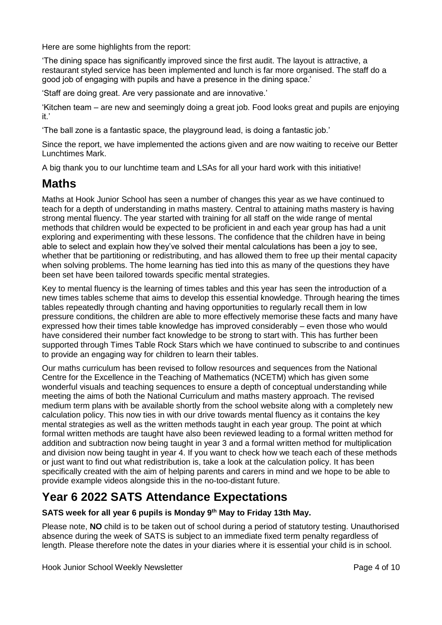Here are some highlights from the report:

'The dining space has significantly improved since the first audit. The layout is attractive, a restaurant styled service has been implemented and lunch is far more organised. The staff do a good job of engaging with pupils and have a presence in the dining space.'

'Staff are doing great. Are very passionate and are innovative.'

'Kitchen team – are new and seemingly doing a great job. Food looks great and pupils are enjoying it.'

'The ball zone is a fantastic space, the playground lead, is doing a fantastic job.'

Since the report, we have implemented the actions given and are now waiting to receive our Better Lunchtimes Mark.

A big thank you to our lunchtime team and LSAs for all your hard work with this initiative!

### **Maths**

Maths at Hook Junior School has seen a number of changes this year as we have continued to teach for a depth of understanding in maths mastery. Central to attaining maths mastery is having strong mental fluency. The year started with training for all staff on the wide range of mental methods that children would be expected to be proficient in and each year group has had a unit exploring and experimenting with these lessons. The confidence that the children have in being able to select and explain how they've solved their mental calculations has been a joy to see, whether that be partitioning or redistributing, and has allowed them to free up their mental capacity when solving problems. The home learning has tied into this as many of the questions they have been set have been tailored towards specific mental strategies.

Key to mental fluency is the learning of times tables and this year has seen the introduction of a new times tables scheme that aims to develop this essential knowledge. Through hearing the times tables repeatedly through chanting and having opportunities to regularly recall them in low pressure conditions, the children are able to more effectively memorise these facts and many have expressed how their times table knowledge has improved considerably – even those who would have considered their number fact knowledge to be strong to start with. This has further been supported through Times Table Rock Stars which we have continued to subscribe to and continues to provide an engaging way for children to learn their tables.

Our maths curriculum has been revised to follow resources and sequences from the National Centre for the Excellence in the Teaching of Mathematics (NCETM) which has given some wonderful visuals and teaching sequences to ensure a depth of conceptual understanding while meeting the aims of both the National Curriculum and maths mastery approach. The revised medium term plans with be available shortly from the school website along with a completely new calculation policy. This now ties in with our drive towards mental fluency as it contains the key mental strategies as well as the written methods taught in each year group. The point at which formal written methods are taught have also been reviewed leading to a formal written method for addition and subtraction now being taught in year 3 and a formal written method for multiplication and division now being taught in year 4. If you want to check how we teach each of these methods or just want to find out what redistribution is, take a look at the calculation policy. It has been specifically created with the aim of helping parents and carers in mind and we hope to be able to provide example videos alongside this in the no-too-distant future.

## **Year 6 2022 SATS Attendance Expectations**

**SATS week for all year 6 pupils is Monday 9th May to Friday 13th May.**

Please note, **NO** child is to be taken out of school during a period of statutory testing. Unauthorised absence during the week of SATS is subject to an immediate fixed term penalty regardless of length. Please therefore note the dates in your diaries where it is essential your child is in school.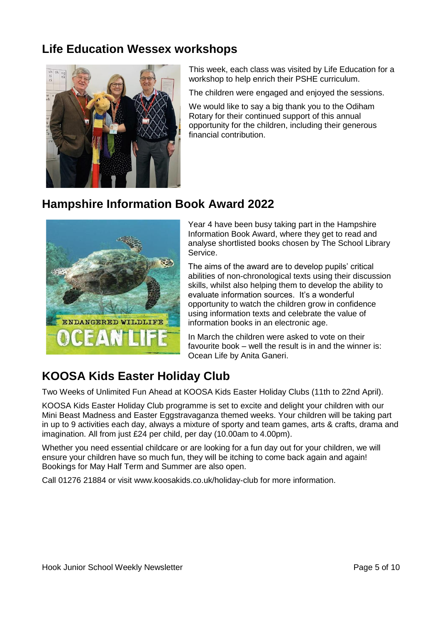## **Life Education Wessex workshops**



This week, each class was visited by Life Education for a workshop to help enrich their PSHE curriculum.

The children were engaged and enjoyed the sessions.

We would like to say a big thank you to the Odiham Rotary for their continued support of this annual opportunity for the children, including their generous financial contribution.

## **Hampshire Information Book Award 2022**



Year 4 have been busy taking part in the Hampshire Information Book Award, where they get to read and analyse shortlisted books chosen by The School Library Service.

The aims of the award are to develop pupils' critical abilities of non-chronological texts using their discussion skills, whilst also helping them to develop the ability to evaluate information sources. It's a wonderful opportunity to watch the children grow in confidence using information texts and celebrate the value of information books in an electronic age.

In March the children were asked to vote on their favourite book – well the result is in and the winner is: Ocean Life by Anita Ganeri.

## **KOOSA Kids Easter Holiday Club**

Two Weeks of Unlimited Fun Ahead at KOOSA Kids Easter Holiday Clubs (11th to 22nd April).

KOOSA Kids Easter Holiday Club programme is set to excite and delight your children with our Mini Beast Madness and Easter Eggstravaganza themed weeks. Your children will be taking part in up to 9 activities each day, always a mixture of sporty and team games, arts & crafts, drama and imagination. All from just £24 per child, per day (10.00am to 4.00pm).

Whether you need essential childcare or are looking for a fun day out for your children, we will ensure your children have so much fun, they will be itching to come back again and again! Bookings for May Half Term and Summer are also open.

Call 01276 21884 or visit [www.koosakids.co.uk/holiday-club](http://www.koosakids.co.uk/holiday-club) for more information.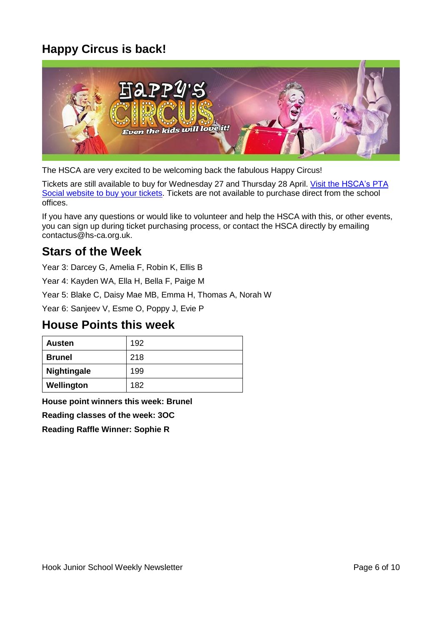## **Happy Circus is back!**



The HSCA are very excited to be welcoming back the fabulous Happy Circus!

Tickets are still available to buy for Wednesday 27 and Thursday 28 April. Visit the [HSCA's](https://l.facebook.com/l.php?u=https%3A%2F%2Fwww.pta-events.co.uk%2Fhsca&h=AT1jAyelLPs7FhFdcrtt1kocrEyYTYuhUzLxo6QNJ32avwMLeOT-ce5mY-A2QA9EUbJ6NgaTDxV46Z2x7oXx_6fc3qA4vNsfewWjhv2V6YBtxU8mrZgss0krSZwJaVSN3VXRUIBjk0DVG_-7VzM8&__tn__=-UK-R&c%5b0%5d=AT1zr6-4V6QMJkdMwKHgYSxCoPENWzVEWnaeAoE7yJK85lW9h5CBN3Nmr-aHC8oqBlI34Cfr9of6452__o221BkYIAVw87ZRTX03mVZ-6NrjHSuQSQMw-tqNuNUNILHTdjqI7cZtwx5GRqA5u1aLM6SkWyQhXcw3E2yPYF0qI8-lqDgZJkUT4FpI9tpyWU-X_2bk3f4GZxx8sKI5BJZGJg) PTA Social [website](https://l.facebook.com/l.php?u=https%3A%2F%2Fwww.pta-events.co.uk%2Fhsca&h=AT1jAyelLPs7FhFdcrtt1kocrEyYTYuhUzLxo6QNJ32avwMLeOT-ce5mY-A2QA9EUbJ6NgaTDxV46Z2x7oXx_6fc3qA4vNsfewWjhv2V6YBtxU8mrZgss0krSZwJaVSN3VXRUIBjk0DVG_-7VzM8&__tn__=-UK-R&c%5b0%5d=AT1zr6-4V6QMJkdMwKHgYSxCoPENWzVEWnaeAoE7yJK85lW9h5CBN3Nmr-aHC8oqBlI34Cfr9of6452__o221BkYIAVw87ZRTX03mVZ-6NrjHSuQSQMw-tqNuNUNILHTdjqI7cZtwx5GRqA5u1aLM6SkWyQhXcw3E2yPYF0qI8-lqDgZJkUT4FpI9tpyWU-X_2bk3f4GZxx8sKI5BJZGJg) to buy your tickets. Tickets are not available to purchase direct from the school offices.

If you have any questions or would like to volunteer and help the HSCA with this, or other events, you can sign up during ticket purchasing process, or contact the HSCA directly by emailing [contactus@hs-ca.org.uk.](mailto:contactus@hs-ca.org.uk)

## **Stars of the Week**

Year 3: Darcey G, Amelia F, Robin K, Ellis B

Year 4: Kayden WA, Ella H, Bella F, Paige M

Year 5: Blake C, Daisy Mae MB, Emma H, Thomas A, Norah W

Year 6: Sanjeev V, Esme O, Poppy J, Evie P

### **House Points this week**

| Austen        | 192 |
|---------------|-----|
| <b>Brunel</b> | 218 |
| Nightingale   | 199 |
| Wellington    | 182 |

**House point winners this week: Brunel**

**Reading classes of the week: 3OC**

**Reading Raffle Winner: Sophie R**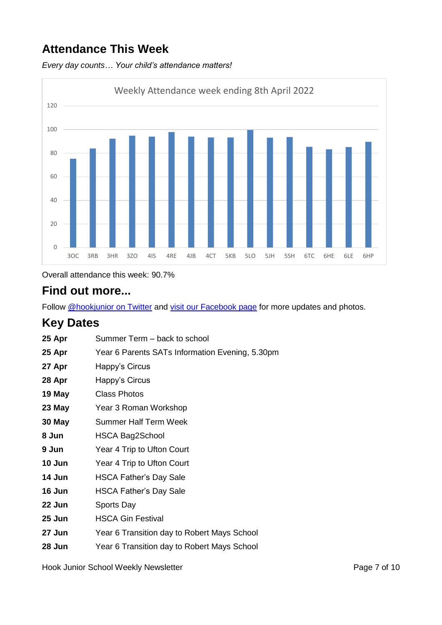## **Attendance This Week**

*Every day counts… Your child's attendance matters!*



Overall attendance this week: 90.7%

## **Find out more...**

Follow [@hookjunior on Twitter](https://twitter.com/hookjunior) and [visit our Facebook page](https://en-gb.facebook.com/hookjuniorschool/) for more updates and photos.

## **Key Dates**

| 25 Apr | Summer Term - back to school                    |
|--------|-------------------------------------------------|
| 25 Apr | Year 6 Parents SATs Information Evening, 5.30pm |
| 27 Apr | Happy's Circus                                  |
| 28 Apr | Happy's Circus                                  |
| 19 May | Class Photos                                    |
| 23 May | Year 3 Roman Workshop                           |
| 30 May | <b>Summer Half Term Week</b>                    |
| 8 Jun  | HSCA Bag2School                                 |
| 9 Jun  | Year 4 Trip to Ufton Court                      |
| 10 Jun | Year 4 Trip to Ufton Court                      |
| 14 Jun | <b>HSCA Father's Day Sale</b>                   |
| 16 Jun | <b>HSCA Father's Day Sale</b>                   |
| 22 Jun | Sports Day                                      |
| 25 Jun | <b>HSCA Gin Festival</b>                        |
| 27 Jun | Year 6 Transition day to Robert Mays School     |
| 28 Jun | Year 6 Transition day to Robert Mays School     |
|        |                                                 |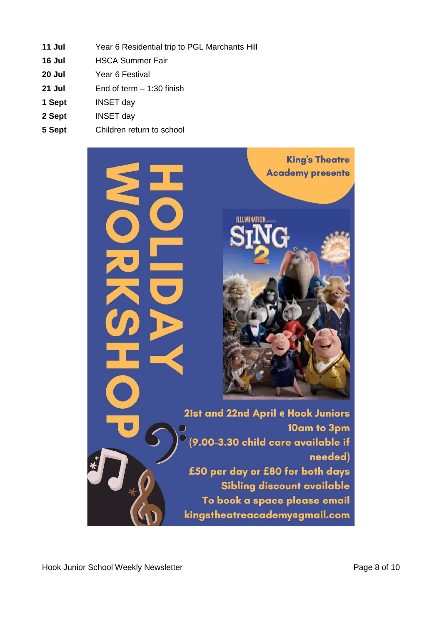- **Jul** Year 6 Residential trip to PGL Marchants Hill
- **Jul** HSCA Summer Fair
- **Jul** Year 6 Festival
- **Jul** End of term 1:30 finish
- **Sept** INSET day
- **Sept** INSET day
- **Sept** Children return to school

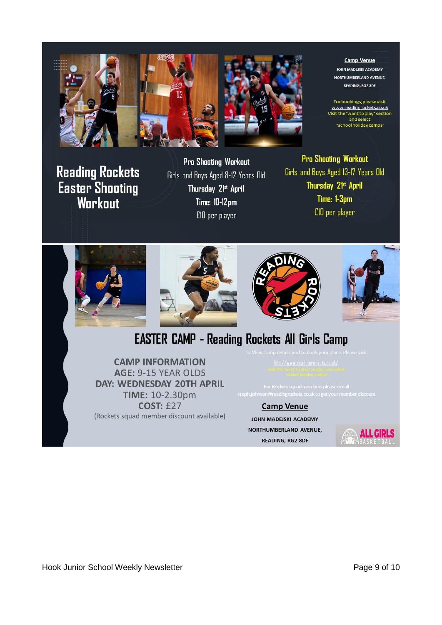



**Camp Venue JOHN MADEJSKI ACADEMY** NORTHUMBERLAND AVENUE, **READING, RG2 8DF** 

For bookings, please visit<br>www.readingrockets.co.uk Visit the "want to play" section<br>and select 'school holiday camps'

**Reading Rockets Easter Shooting** Workout

**Pro Shooting Workout** Girls and Boys Aged 8-12 Years Old Thursday 2<sup>fst</sup> April **Time: 10-12pm** £10 per player

**Pro Shooting Workout** Girls and Boys Aged 13-17 Years Old Thursday 2<sup>tst</sup> April Time: 1-3pm £10 per player



# **EASTER CAMP - Reading Rockets All Girls Camp**

**CAMP INFORMATION** AGE: 9-15 YEAR OLDS DAY: WEDNESDAY 20TH APRIL **TIME: 10-2.30pm COST: £27** (Rockets squad member discount available)

**Camp Venue** 

JOHN MADEJSKI ACADEMY NORTHUMBERLAND AVENUE, **READING, RG2 8DF** 



Hook Junior School Weekly Newsletter